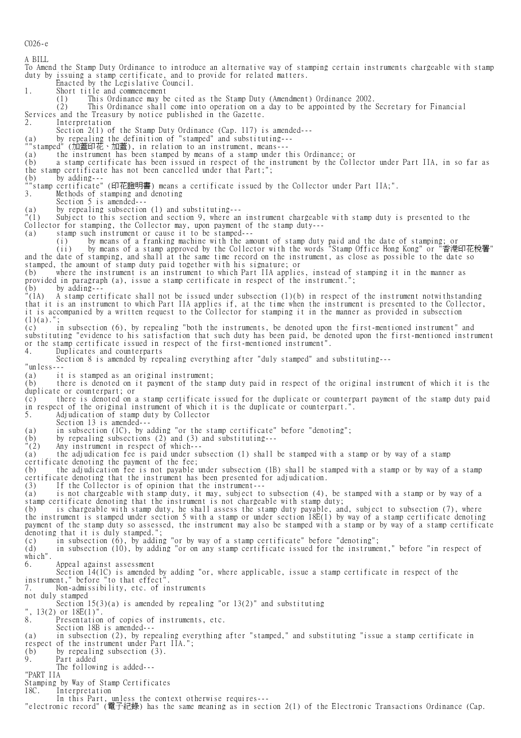C026-e

A BILL To Amend the Stamp Duty Ordinance to introduce an alternative way of stamping certain instruments chargeable with stamp duty by issuing a stamp certificate, and to provide for related matters. Enacted by the Legislative Council.<br>1. Short title and commencement Short title and commencement<br>(1) This Ordinance may be This Ordinance may be cited as the Stamp Duty (Amendment) Ordinance 2002. (2) This Ordinance shall come into operation on a day to be appointed by the Secretary for Financial Services and the Treasury by notice published in the Gazette.<br>2. Interpretation Interpretation Section 2(1) of the Stamp Duty Ordinance (Cap. 117) is amended--- (a) by repealing the definition of "stamped" and substituting--- ""stamped" (加蓋印花、加蓋), in relation to an instrument, means--- (a) the instrument has been stamped by means of a stamp under this Ordinance; or (b) a stamp certificate has been issued in respect of the instrument by the Collector under Part IIA, in so far as the stamp certificate has not been cancelled under that Part;"; (b) by adding--- ""stamp certificate" (印花證明書) means a certificate issued by the Collector under Part IIA;". 3. Methods of stamping and denoting Section 5 is amended--- (a) by repealing subsection (1) and substituting---<br>"(1) Subject to this section and section 9, where an Subject to this section and section 9, where an instrument chargeable with stamp duty is presented to the Collector for stamping, the Collector may, upon payment of the stamp duty--- (a) stamp such instrument or cause it to be stamped--- (i) by means of a franking machine with the amount of stamp duty paid and the date of stamping; or (ii) by means of a stamp approved by the Collector with the words "Stamp Office Hong Kong" or "香港印花稅署" and the date of stamping, and shall at the same time record on the instrument, as close as possible to the date so stamped, the amount of stamp duty paid together with his signature; or (b) where the instrument is an instrument to which Part IIA applies, instead of stamping it in the manner as provided in paragraph (a), issue a stamp certificate in respect of the instrument.";<br>(b) by adding---<br>"(1A) A stamp certificate shall not be issued under subsection (1)(b) in respect o by  $\overline{\text{adding}}$ --"(1A) A stamp certificate shall not be issued under subsection (1)(b) in respect of the instrument notwithstanding that it is an instrument to which Part IIA applies if, at the time when the instrument is presented to the Collector, it is accompanied by a written request to the Collector for stamping it in the manner as provided in subsection  $(1)(a)$ . (c) in subsection (6), by repealing "both the instruments, be denoted upon the first-mentioned instrument" and substituting "evidence to his satisfaction that such duty has been paid, be denoted upon the first-mentioned instrument or the stamp certificate issued in respect of the first-mentioned instrument". 4. Duplicates and counterparts Section 8 is amended by repealing everything after "duly stamped" and substituting--- "unless--- (a) it is stamped as an original instrument; (b) there is denoted on it payment of the stamp duty paid in respect of the original instrument of which it is the duplicate or counterpart; or (c) there is denoted on a stamp certificate issued for the duplicate or counterpart payment of the stamp duty paid in respect of the original instrument of which it is the duplicate or counterpart.". 5. Adjudication of stamp duty by Collector Section 13 is amended---(a) in subsection (1C), by adding "or the stamp certificate" before "denoting";<br>
(b) by repealing subsections (2) and (3) and substituting---<br>
"(2) Any instrument in respect of which---(b) by repealing subsections (2) and (3) and substituting--- "(2) Any instrument in respect of which--- (a) the adjudication fee is paid under subsection (1) shall be stamped with a stamp or by way of a stamp certificate denoting the payment of the fee; (b) the adjudication fee is not payable under subsection (1B) shall be stamped with a stamp or by way of a stamp certificate denoting that the instrument has been presented for adjudication. (3) If the Collector is of opinion that the instrument--- (a) is not chargeable with stamp duty, it may, subject to subsection (4), be stamped with a stamp or by way of a stamp certificate denoting that the instrument is not chargeable with stamp duty; (b) is chargeable with stamp duty, he shall assess the stamp duty payable, and, subject to subsection (7), where the instrument is stamped under section 5 with a stamp or under section 18E(1) by way of a stamp certificate denoting payment of the stamp duty so assessed, the instrument may also be stamped with a stamp or by way of a stamp certificate denoting that it is duly stamped."; (c) in subsection (6), by adding "or by way of a stamp certificate" before "denoting"; (d) in subsection (10), by adding "or on any stamp certificate issued for the instrument," before "in respect of which". 6. Appeal against assessment Section 14(1C) is amended by adding "or, where applicable, issue a stamp certificate in respect of the instrument," before "to that effect". 7. Non-admissibility, etc. of instruments not duly stamped Section  $15(3)(a)$  is amended by repealing "or  $13(2)$ " and substituting ",  $13(2)$  or  $18E(1)$ "<br>8. Presentatio Presentation of copies of instruments, etc. Section 18B is amended---(a) in subsection (2), by repealing everything after "stamped," and substituting "issue a stamp certificate in respect of the instrument under Part IIA."; (b) by repealing subsection (3).<br>9. Part added Part added The following is added--- "PART IIA Stamping by Way of Stamp Certificates 18C. Interpretation In this Part, unless the context otherwise requires--- "electronic record" (電子紀錄) has the same meaning as in section 2(1) of the Electronic Transactions Ordinance (Cap.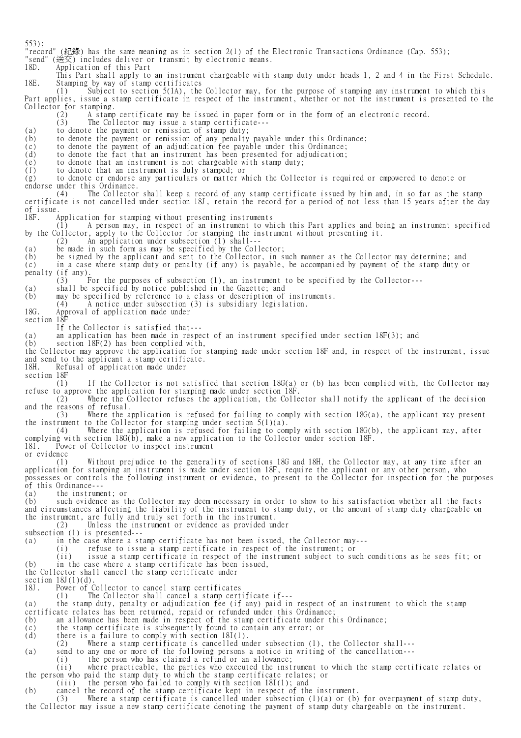553); "record" (紀錄) has the same meaning as in section 2(1) of the Electronic Transactions Ordinance (Cap. 553); "send" (送交) includes deliver or transmit by electronic means. 18D. Application of this Part This Part shall apply to an instrument chargeable with stamp duty under heads 1, 2 and 4 in the First Schedule.<br>18E. Stamping by way of stamp certificates Stamping by way of stamp certificates (1) Subject to section  $5(1A)$ , the Subject to section 5(1A), the Collector may, for the purpose of stamping any instrument to which this Part applies, issue a stamp certificate in respect of the instrument, whether or not the instrument is presented to the Collector for stamping. (2) A stamp certificate may be issued in paper form or in the form of an electronic record.<br>(3) The Collector may issue a stamp certificate---The Collector may issue a stamp certificate---(a) to denote the payment or remission of stamp duty;<br>(b) to denote the payment or remission of any penalty to denote the payment or remission of any penalty payable under this Ordinance; (c) to denote the payment of an adjudication fee payable under this Ordinance; (d) to denote the fact that an instrument has been presented for adjudication; (e) to denote that an instrument is not chargeable with stamp duty;<br>(f) to denote that an instrument is duly stamped; or (f) to denote that an instrument is duly stamped; or (g) to denote or endorse any particulars or matter which the Collector is required or empowered to denote or endorse under this Ordinance. (4) The Collector shall keep a record of any stamp certificate issued by him and, in so far as the stamp certificate is not cancelled under section 18J, retain the record for a period of not less than 15 years after the day of issue. Application for stamping without presenting instruments (1) A person may, in respect of an instrument to which this Part applies and being an instrument specified by the Collector, apply to the Collector for stamping the instrument without presenting it. (2) An application under subsection (1) shall--- (a) be made in such form as may be specified by the Collector; (b) be signed by the applicant and sent to the Collector, in such manner as the Collector may determine; and (c) in a case where stamp duty or penalty (if any) is payable, be accompanied by payment of the stamp duty or penalty (if any). (3) For the purposes of subsection (1), an instrument to be specified by the Collector--- (a) shall be specified by notice published in the Gazette; and (b) may be specified by reference to a class or description of instruments. (4) A notice under subsection (3) is subsidiary legislation. Approval of application made under section 18F If the Collector is satisfied that--- (a) an application has been made in respect of an instrument specified under section 18F(3); and (b) section 18F(2) has been complied with, the Collector may approve the application for stamping made under section 18F and, in respect of the instrument, issue and send to the applicant a stamp certificate. 18H. Refusal of application made under section 18F (1) If the Collector is not satisfied that section 18G(a) or (b) has been complied with, the Collector may refuse to approve the application for stamping made under section 18F.<br>(2) Where the Collector refuses the application, the Colle Where the Collector refuses the application, the Collector shall notify the applicant of the decision and the reasons of refusal. (3) Where the application is refused for failing to comply with section 18G(a), the applicant may present the instrument to the Collector for stamping under section  $\bar{5}(1)(a)$ . (4) Where the application is refused for failing to comply with section 18G(b), the applicant may, after complying with section 18G(b), make a new application to the Collector under section 18F. 18I. Power of Collector to inspect instrument or evidence (1) Without prejudice to the generality of sections 18G and 18H, the Collector may, at any time after an application for stamping an instrument is made under section 18F, require the applicant or any other person, who possesses or controls the following instrument or evidence, to present to the Collector for inspection for the purposes of this Ordinance--- (a) the instrument; or (b) such evidence as the Collector may deem necessary in order to show to his satisfaction whether all the facts and circumstances affecting the liability of the instrument to stamp duty, or the amount of stamp duty chargeable on the instrument, are fully and truly set forth in the instrument. (2) Unless the instrument or evidence as provided under subsection (1) is presented---(a) in the case where a stamp certificate has not been issued, the Collector may--- (i) refuse to issue a stamp certificate in respect of the instrument; or (ii) issue a stamp certificate in respect of the instrument subject to such conditions as he sees fit; or (b) in the case where a stamp certificate has been issued, the Collector shall cancel the stamp certificate under section  $18J(1)(d)$ <br>18J. Power of ( Power of Collector to cancel stamp certificates (1) The Collector shall cancel a stamp certificate if--- (a) the stamp duty, penalty or adjudication fee (if any) paid in respect of an instrument to which the stamp certificate relates has been returned, repaid or refunded under this Ordinance; (b) an allowance has been made in respect of the stamp certificate under this Ordinance; (c) the stamp certificate is subsequently found to contain any error; or (d) there is a failure to comply with section 18I(1). (2) Where a stamp certificate is cancelled under subsection (1), the Collector shall--- (a) send to any one or more of the following persons a notice in writing of the cancellation--- (i) the person who has claimed a refund or an allowance; (ii) where practicable, the parties who executed the instrument to which the stamp certificate relates or the person who paid the stamp duty to which the stamp certificate relates; or (iii) the person who failed to comply with section 18I(1); and (b) cancel the record of the stamp certificate kept in respect of the instrument. (3) Where a stamp certificate is cancelled under subsection (1)(a) or (b) for overpayment of stamp duty,

the Collector may issue a new stamp certificate denoting the payment of stamp duty chargeable on the instrument.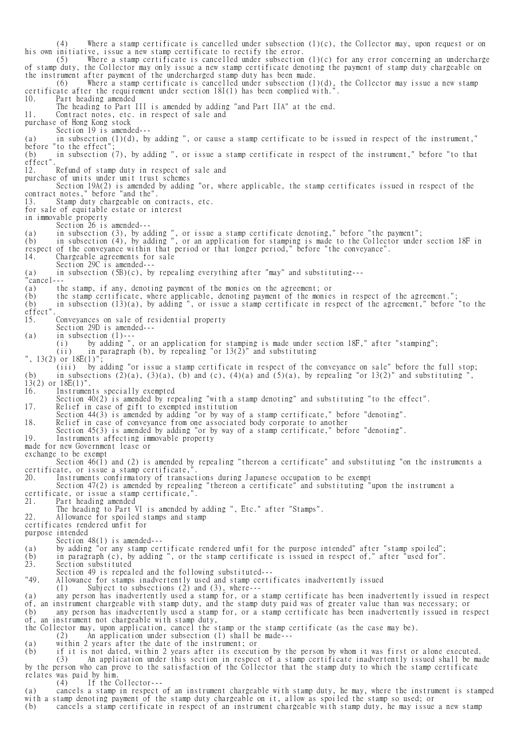(4) Where a stamp certificate is cancelled under subsection (1)(c), the Collector may, upon request or on his own initiative, issue a new stamp certificate to rectify the error. (5) Where a stamp certificate is cancelled under subsection (1)(c) for any error concerning an undercharge of stamp duty, the Collector may only issue a new stamp certificate denoting the payment of stamp duty chargeable on the instrument after payment of the undercharged stamp duty has been made. (6) Where a stamp certificate is cancelled under subsection (1)(d), the Collector may issue a new stamp certificate after the requirement under section 18I(1) has been complied with."<br>10. Part heading amended Part heading amended The heading to Part III is amended by adding "and Part IIA" at the end. 11. Contract notes, etc. in respect of sale and purchase of Hong Kong stock Section 19 is amended---(a) in subsection  $(1)(d)$ , by adding ", or cause a stamp certificate to be issued in respect of the instrument," before "to the effect" (b) in subsection (7), by adding ", or issue a stamp certificate in respect of the instrument," before "to that effect'<br>12. Refund of stamp duty in respect of sale and purchase of units under unit trust schemes Section 19A(2) is amended by adding "or, where applicable, the stamp certificates issued in respect of the contract notes," before "and the". 13. Stamp duty chargeable on contracts, etc. for sale of equitable estate or interest in immovable property Section 26 is amended--- (a) in subsection (3), by adding ", or issue a stamp certificate denoting," before "the payment"; (b) in subsection (4), by adding ", or an application for stamping is made to the Collector under section 18F in respect of the conveyance within that period or that longer period," before "the conveyance". 14. Chargeable agreements for sale Section 29C is amended--- (a) in subsection (5B)(c), by repealing everything after "may" and substituting--- "cancel--- (a) the stamp, if any, denoting payment of the monies on the agreement; or (b) the stamp certificate, where applicable, denoting payment of the monies in respect of the agreement."; (b) in subsection (13)(a), by adding ", or issue a stamp certificate in respect of the agreement," before "to the effect". 15. Conveyances on sale of residential property Section 29D is amended---  $(a)$  in subsection  $(1)$ -- (i) by adding ", or an application for stamping is made under section 18F," after "stamping"; (ii) in paragraph (b), by repealing "or 13(2)" and substituting ", 13(2) or 18E(1)"; (iii) by adding "or issue a stamp certificate in respect of the conveyance on sale" before the full stop; (b) in subsections  $(\overline{2})(a)$ ,  $(3)(a)$ ,  $(b)$  and  $(c)$ ,  $(4)(a)$  and  $(5)(a)$ , by repealing "or 13(2)" and substituting  $13(2)$  or  $18E(1)$ ". 16. Instruments specially exempted Section 40(2) is amended by repealing "with a stamp denoting" and substituting "to the effect". 17. Relief in case of gift to exempted institution Section 44(3) is amended by adding "or by way of a stamp certificate," before "denoting". 18. Relief in case of conveyance from one associated body corporate to another Section 45(3) is amended by adding "or by way of a stamp certificate," before "denoting".<br>19. Instruments affecting immovable property Instruments affecting immovable property made for new Government lease or exchange to be exempt Section 46(1) and (2) is amended by repealing "thereon a certificate" and substituting "on the instruments a certificate, or issue a stamp certificate,<br>20. Instruments confirmatory of transac 20. Instruments confirmatory of transactions during Japanese occupation to be exempt Section 47(2) is amended by repealing "thereon a certificate" and substituting "upon the instrument a certificate, or issue a stamp certificate,". 21. Part heading amended The heading to Part VI is amended by adding ", Etc." after "Stamps". 22. Allowance for spoiled stamps and stamp certificates rendered unfit for purpose intended Section 48(1) is amended---(a) by adding "or any stamp certificate rendered unfit for the purpose intended" after "stamp spoiled"; (b) in paragraph (c), by adding ", or the stamp certificate is issued in respect of," after "used for". Section substituted Section 49 is repealed and the following substituted---<br>"49. Allowance for stamps inadvertently used and stamp certi "49. Allowance for stamps inadvertently used and stamp certificates inadvertently issued (1) Subject to subsections (2) and (3), where--- (a) any person has inadvertently used a stamp for, or a stamp certificate has been inadvertently issued in respect of, an instrument chargeable with stamp duty, and the stamp duty paid was of greater value than was necessary; or (b) any person has inadvertently used a stamp for, or a stamp certificate has been inadvertently issued in respect of, an instrument not chargeable with stamp duty, the Collector may, upon application, cancel the stamp or the stamp certificate (as the case may be). (2) An application under subsection (1) shall be made--- (a) within 2 years after the date of the instrument; or (b) if it is not dated, within 2 years after its execution by the person by whom it was first or alone executed. (3) An application under this section in respect of a stamp certificate inadvertently issued shall be made by the person who can prove to the satisfaction of the Collector that the stamp duty to which the stamp certificate relates was paid by him. (4) If the Collector--- (a) cancels a stamp in respect of an instrument chargeable with stamp duty, he may, where the instrument is stamped with a stamp denoting payment of the stamp duty chargeable on it, allow as spoiled the stamp so used; or (b) cancels a stamp certificate in respect of an instrument chargeable with stamp duty, he may issue a new stamp